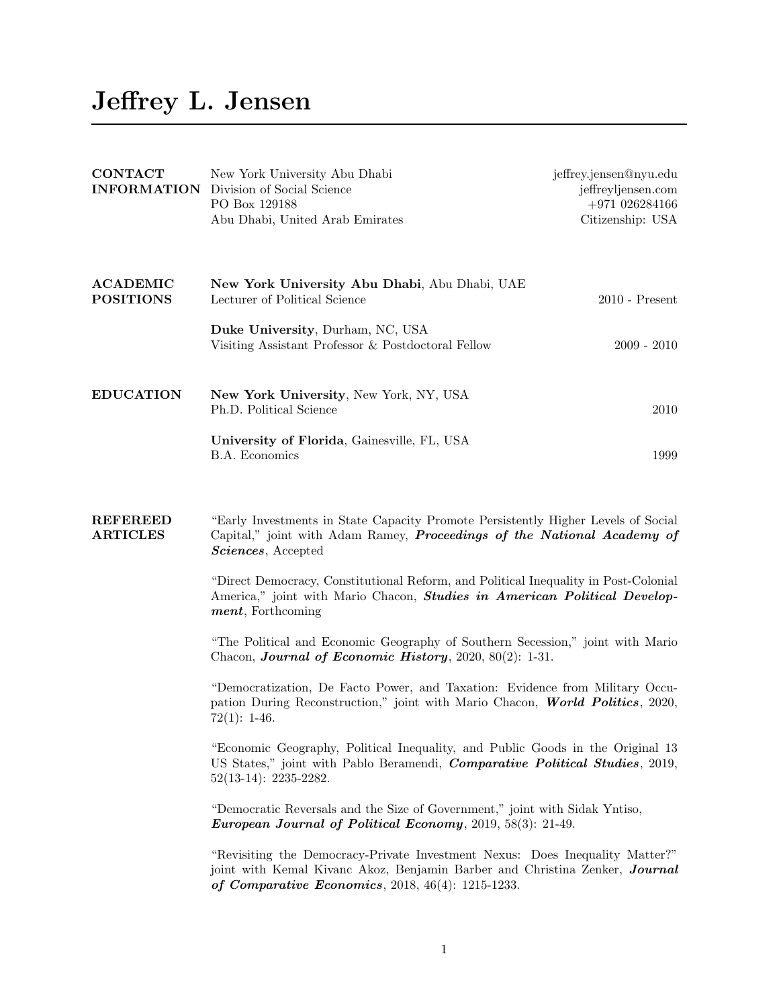## Jeffrey L. Jensen

| <b>CONTACT</b><br><b>INFORMATION</b> | New York University Abu Dhabi<br>Division of Social Science<br>PO Box 129188<br>Abu Dhabi, United Arab Emirates                                                                                   | jeffrey.jensen@nyu.edu<br>jeffreyljensen.com<br>$+971026284166$<br>Citizenship: USA |  |
|--------------------------------------|---------------------------------------------------------------------------------------------------------------------------------------------------------------------------------------------------|-------------------------------------------------------------------------------------|--|
| <b>ACADEMIC</b><br><b>POSITIONS</b>  | New York University Abu Dhabi, Abu Dhabi, UAE<br>Lecturer of Political Science                                                                                                                    | $2010$ - Present                                                                    |  |
|                                      | Duke University, Durham, NC, USA<br>Visiting Assistant Professor & Postdoctoral Fellow                                                                                                            | $2009 - 2010$                                                                       |  |
| <b>EDUCATION</b>                     | New York University, New York, NY, USA<br>Ph.D. Political Science                                                                                                                                 | 2010                                                                                |  |
|                                      | University of Florida, Gainesville, FL, USA<br><b>B.A. Economics</b>                                                                                                                              | 1999                                                                                |  |
| <b>REFEREED</b><br><b>ARTICLES</b>   | "Early Investments in State Capacity Promote Persistently Higher Levels of Social<br>Capital," joint with Adam Ramey, Proceedings of the National Academy of<br>Sciences, Accepted                |                                                                                     |  |
|                                      | "Direct Democracy, Constitutional Reform, and Political Inequality in Post-Colonial<br>America," joint with Mario Chacon, <b>Studies in American Political Develop-</b><br>ment, Forthcoming      |                                                                                     |  |
|                                      | "The Political and Economic Geography of Southern Secession," joint with Mario<br>Chacon, Journal of Economic History, 2020, 80(2): 1-31.                                                         |                                                                                     |  |
|                                      | "Democratization, De Facto Power, and Taxation: Evidence from Military Occu-<br>pation During Reconstruction," joint with Mario Chacon, World Politics, 2020,<br>$72(1): 1-46.$                   |                                                                                     |  |
|                                      | "Economic Geography, Political Inequality, and Public Goods in the Original 13<br>US States," joint with Pablo Beramendi, <i>Comparative Political Studies</i> , 2019,<br>$52(13-14): 2235-2282.$ |                                                                                     |  |
|                                      | "Democratic Reversals and the Size of Government," joint with Sidak Yntiso,<br>European Journal of Political Economy, 2019, 58(3): 21-49.                                                         |                                                                                     |  |

"Revisiting the Democracy-Private Investment Nexus: Does Inequality Matter?" joint with Kemal Kivanc Akoz, Benjamin Barber and Christina Zenker, Journal of Comparative Economics, 2018, 46(4): 1215-1233.